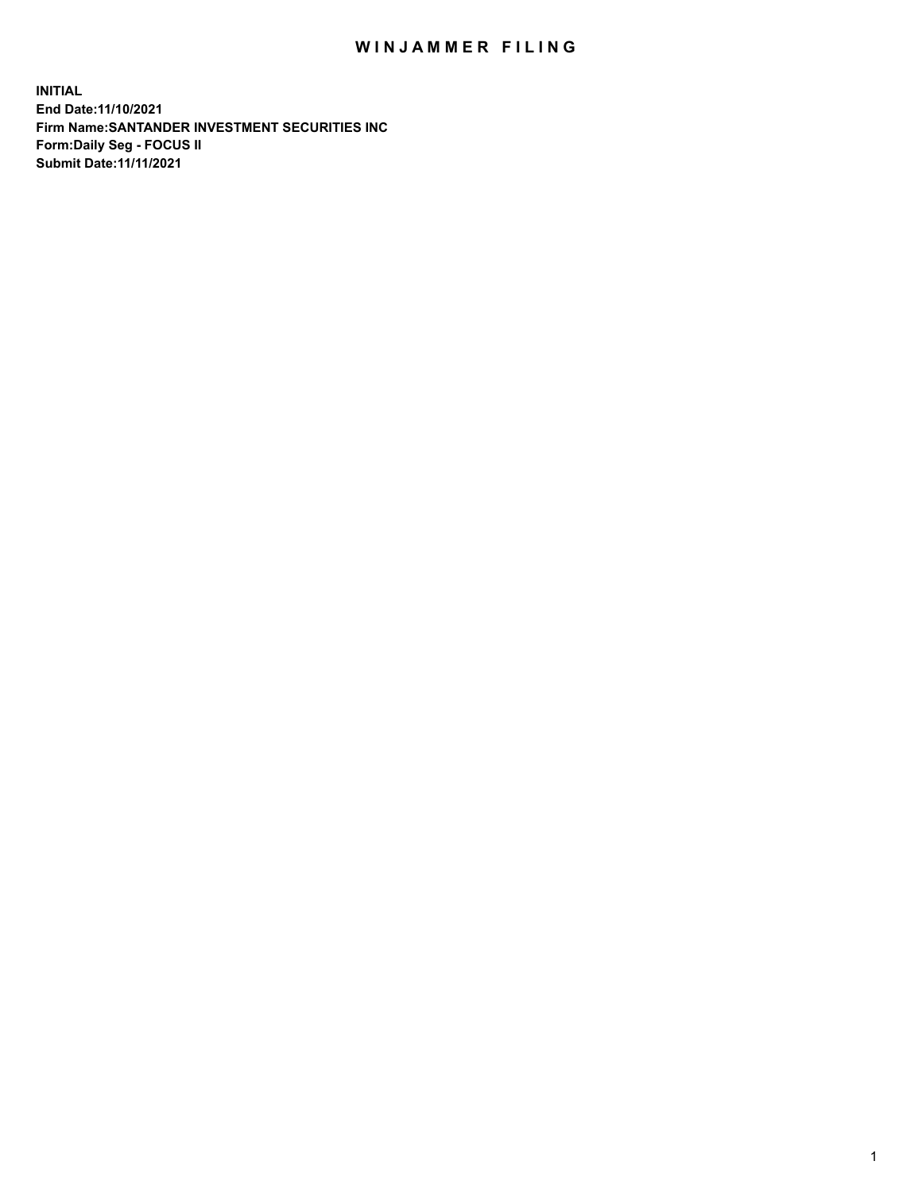## WIN JAMMER FILING

**INITIAL End Date:11/10/2021 Firm Name:SANTANDER INVESTMENT SECURITIES INC Form:Daily Seg - FOCUS II Submit Date:11/11/2021**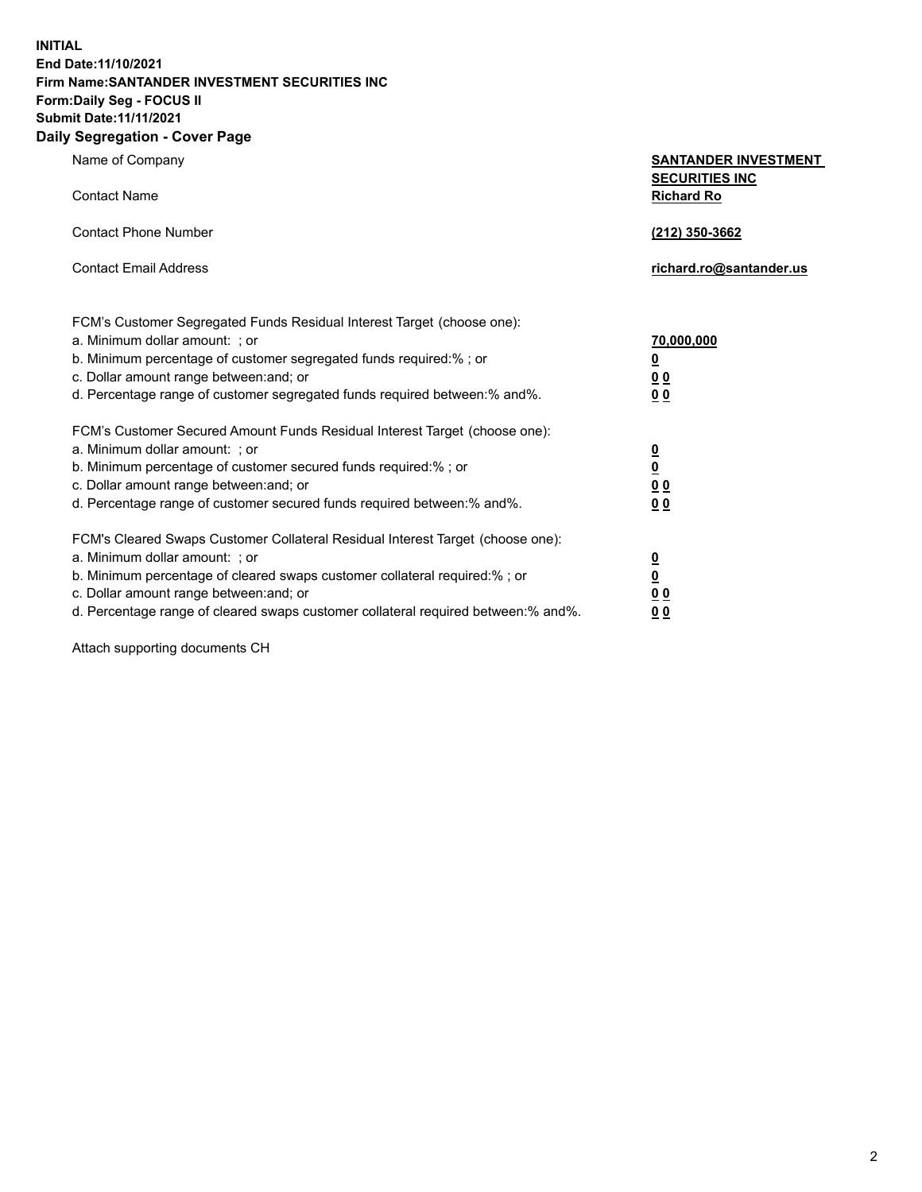**INITIAL End Date:11/10/2021 Firm Name:SANTANDER INVESTMENT SECURITIES INC Form:Daily Seg - FOCUS II Submit Date:11/11/2021 Daily Segregation - Cover Page**

| $\gamma$ ocgi cganon - oo $\gamma$ or - ago                                       |                                                      |
|-----------------------------------------------------------------------------------|------------------------------------------------------|
| Name of Company                                                                   | <b>SANTANDER INVESTMENT</b><br><b>SECURITIES INC</b> |
| <b>Contact Name</b>                                                               | <b>Richard Ro</b>                                    |
| <b>Contact Phone Number</b>                                                       | (212) 350-3662                                       |
| <b>Contact Email Address</b>                                                      | richard.ro@santander.us                              |
| FCM's Customer Segregated Funds Residual Interest Target (choose one):            |                                                      |
| a. Minimum dollar amount: ; or                                                    | 70,000,000                                           |
| b. Minimum percentage of customer segregated funds required:%; or                 | <u>0</u>                                             |
| c. Dollar amount range between: and; or                                           | 00                                                   |
| d. Percentage range of customer segregated funds required between:% and%.         | 0 <sub>0</sub>                                       |
| FCM's Customer Secured Amount Funds Residual Interest Target (choose one):        |                                                      |
| a. Minimum dollar amount: ; or                                                    | $\frac{0}{0}$                                        |
| b. Minimum percentage of customer secured funds required:%; or                    |                                                      |
| c. Dollar amount range between: and; or                                           | 0 <sub>0</sub>                                       |
| d. Percentage range of customer secured funds required between: % and %.          | 0 <sub>0</sub>                                       |
| FCM's Cleared Swaps Customer Collateral Residual Interest Target (choose one):    |                                                      |
| a. Minimum dollar amount: ; or                                                    | $\frac{0}{0}$                                        |
| b. Minimum percentage of cleared swaps customer collateral required:% ; or        |                                                      |
| c. Dollar amount range between: and; or                                           | 0 <sub>0</sub>                                       |
| d. Percentage range of cleared swaps customer collateral required between:% and%. | 0 <sub>0</sub>                                       |

Attach supporting documents CH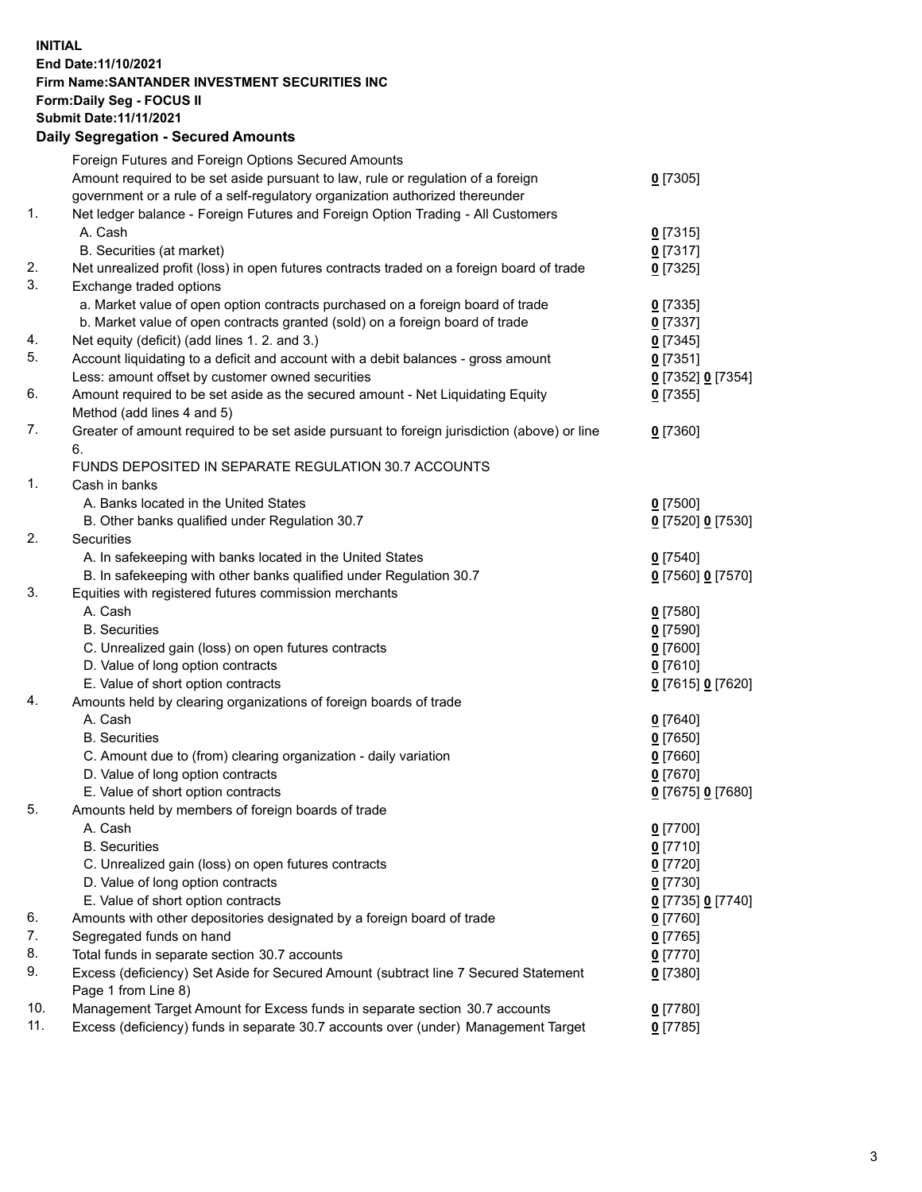## **INITIAL End Date:11/10/2021 Firm Name:SANTANDER INVESTMENT SECURITIES INC Form:Daily Seg - FOCUS II Submit Date:11/11/2021 Daily Segregation - Secured Amounts**

|     | Foreign Futures and Foreign Options Secured Amounts                                         |                   |
|-----|---------------------------------------------------------------------------------------------|-------------------|
|     | Amount required to be set aside pursuant to law, rule or regulation of a foreign            | $0$ [7305]        |
|     | government or a rule of a self-regulatory organization authorized thereunder                |                   |
| 1.  | Net ledger balance - Foreign Futures and Foreign Option Trading - All Customers             |                   |
|     | A. Cash                                                                                     | $0$ [7315]        |
|     | B. Securities (at market)                                                                   | $0$ [7317]        |
| 2.  | Net unrealized profit (loss) in open futures contracts traded on a foreign board of trade   | $0$ [7325]        |
| 3.  | Exchange traded options                                                                     |                   |
|     | a. Market value of open option contracts purchased on a foreign board of trade              | $0$ [7335]        |
|     | b. Market value of open contracts granted (sold) on a foreign board of trade                | $0$ [7337]        |
| 4.  | Net equity (deficit) (add lines 1. 2. and 3.)                                               | $0$ [7345]        |
| 5.  | Account liquidating to a deficit and account with a debit balances - gross amount           | $0$ [7351]        |
|     | Less: amount offset by customer owned securities                                            | 0 [7352] 0 [7354] |
| 6.  | Amount required to be set aside as the secured amount - Net Liquidating Equity              | $0$ [7355]        |
|     | Method (add lines 4 and 5)                                                                  |                   |
| 7.  | Greater of amount required to be set aside pursuant to foreign jurisdiction (above) or line | $0$ [7360]        |
|     | 6.                                                                                          |                   |
|     | FUNDS DEPOSITED IN SEPARATE REGULATION 30.7 ACCOUNTS                                        |                   |
| 1.  | Cash in banks                                                                               |                   |
|     | A. Banks located in the United States                                                       | $0$ [7500]        |
|     | B. Other banks qualified under Regulation 30.7                                              | 0 [7520] 0 [7530] |
| 2.  | Securities                                                                                  |                   |
|     | A. In safekeeping with banks located in the United States                                   | $0$ [7540]        |
|     | B. In safekeeping with other banks qualified under Regulation 30.7                          | 0 [7560] 0 [7570] |
| 3.  | Equities with registered futures commission merchants                                       |                   |
|     | A. Cash                                                                                     | $0$ [7580]        |
|     | <b>B.</b> Securities                                                                        | $0$ [7590]        |
|     | C. Unrealized gain (loss) on open futures contracts                                         | $0$ [7600]        |
|     | D. Value of long option contracts                                                           | $0$ [7610]        |
|     | E. Value of short option contracts                                                          | 0 [7615] 0 [7620] |
| 4.  | Amounts held by clearing organizations of foreign boards of trade                           |                   |
|     | A. Cash                                                                                     | $0$ [7640]        |
|     | <b>B.</b> Securities                                                                        | $0$ [7650]        |
|     | C. Amount due to (from) clearing organization - daily variation                             | $0$ [7660]        |
|     | D. Value of long option contracts                                                           | $0$ [7670]        |
|     | E. Value of short option contracts                                                          | 0 [7675] 0 [7680] |
| 5.  | Amounts held by members of foreign boards of trade                                          |                   |
|     | A. Cash                                                                                     | $0$ [7700]        |
|     | <b>B.</b> Securities                                                                        | $0$ [7710]        |
|     | C. Unrealized gain (loss) on open futures contracts                                         | $0$ [7720]        |
|     | D. Value of long option contracts                                                           | $0$ [7730]        |
|     | E. Value of short option contracts                                                          | 0 [7735] 0 [7740] |
| 6.  | Amounts with other depositories designated by a foreign board of trade                      | 0 [7760]          |
| 7.  | Segregated funds on hand                                                                    | $0$ [7765]        |
| 8.  | Total funds in separate section 30.7 accounts                                               | 0 [7770]          |
| 9.  | Excess (deficiency) Set Aside for Secured Amount (subtract line 7 Secured Statement         | $0$ [7380]        |
|     | Page 1 from Line 8)                                                                         |                   |
| 10. | Management Target Amount for Excess funds in separate section 30.7 accounts                 | $0$ [7780]        |
| 11. | Excess (deficiency) funds in separate 30.7 accounts over (under) Management Target          | $0$ [7785]        |
|     |                                                                                             |                   |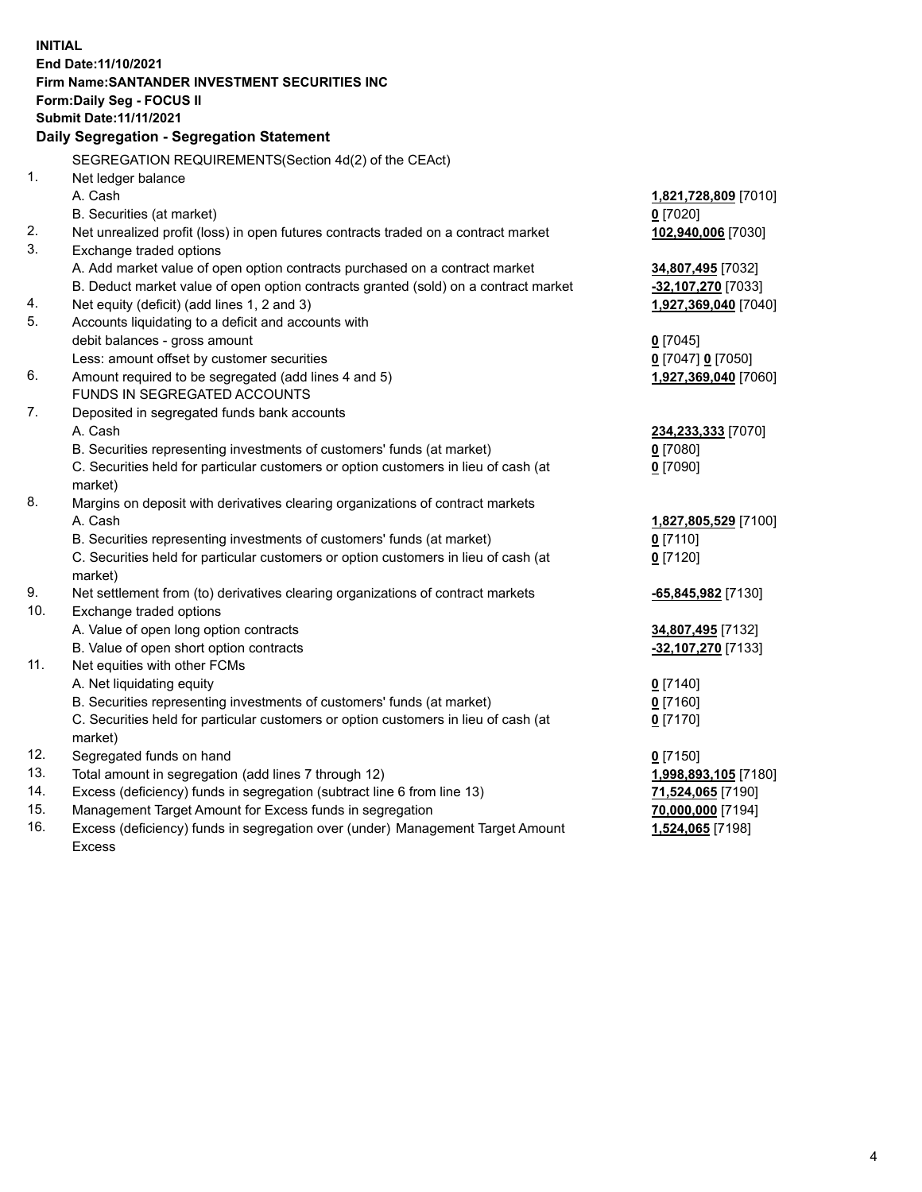| <b>INITIAL</b> |                                                                                     |                      |
|----------------|-------------------------------------------------------------------------------------|----------------------|
|                | End Date: 11/10/2021                                                                |                      |
|                | Firm Name: SANTANDER INVESTMENT SECURITIES INC                                      |                      |
|                | Form: Daily Seg - FOCUS II                                                          |                      |
|                | Submit Date: 11/11/2021                                                             |                      |
|                | Daily Segregation - Segregation Statement                                           |                      |
|                | SEGREGATION REQUIREMENTS(Section 4d(2) of the CEAct)                                |                      |
| 1.             | Net ledger balance                                                                  |                      |
|                | A. Cash                                                                             | 1,821,728,809 [7010] |
|                | B. Securities (at market)                                                           | $0$ [7020]           |
| 2.             | Net unrealized profit (loss) in open futures contracts traded on a contract market  | 102,940,006 [7030]   |
| 3.             | Exchange traded options                                                             |                      |
|                | A. Add market value of open option contracts purchased on a contract market         | 34,807,495 [7032]    |
|                | B. Deduct market value of open option contracts granted (sold) on a contract market | -32,107,270 [7033]   |
| 4.             | Net equity (deficit) (add lines 1, 2 and 3)                                         | 1,927,369,040 [7040] |
| 5.             | Accounts liquidating to a deficit and accounts with                                 |                      |
|                | debit balances - gross amount                                                       | $0$ [7045]           |
|                | Less: amount offset by customer securities                                          | 0 [7047] 0 [7050]    |
| 6.             | Amount required to be segregated (add lines 4 and 5)                                | 1,927,369,040 [7060] |
|                | FUNDS IN SEGREGATED ACCOUNTS                                                        |                      |
| 7.             | Deposited in segregated funds bank accounts                                         |                      |
|                | A. Cash                                                                             | 234,233,333 [7070]   |
|                | B. Securities representing investments of customers' funds (at market)              | $0$ [7080]           |
|                | C. Securities held for particular customers or option customers in lieu of cash (at | $0$ [7090]           |
|                | market)                                                                             |                      |
| 8.             | Margins on deposit with derivatives clearing organizations of contract markets      |                      |
|                | A. Cash                                                                             | 1,827,805,529 [7100] |
|                | B. Securities representing investments of customers' funds (at market)              | $0$ [7110]           |
|                | C. Securities held for particular customers or option customers in lieu of cash (at | $0$ [7120]           |
|                | market)                                                                             |                      |
| 9.             | Net settlement from (to) derivatives clearing organizations of contract markets     | -65,845,982 [7130]   |
| 10.            | Exchange traded options                                                             |                      |
|                | A. Value of open long option contracts                                              | 34,807,495 [7132]    |
|                | B. Value of open short option contracts                                             | -32,107,270 [7133]   |
| 11.            | Net equities with other FCMs                                                        |                      |
|                | A. Net liquidating equity                                                           | $0$ [7140]           |
|                | B. Securities representing investments of customers' funds (at market)              | $0$ [7160]           |
|                | C. Securities held for particular customers or option customers in lieu of cash (at | $0$ [7170]           |
|                | market)                                                                             |                      |
| 12.            | Segregated funds on hand                                                            | $0$ [7150]           |
| 13.            | Total amount in segregation (add lines 7 through 12)                                | 1,998,893,105 [7180] |
| 14.            | Excess (deficiency) funds in segregation (subtract line 6 from line 13)             | 71,524,065 [7190]    |
| 15.            | Management Target Amount for Excess funds in segregation                            | 70,000,000 [7194]    |
| 16.            | Excess (deficiency) funds in segregation over (under) Management Target Amount      | 1,524,065 [7198]     |
|                | <b>Excess</b>                                                                       |                      |